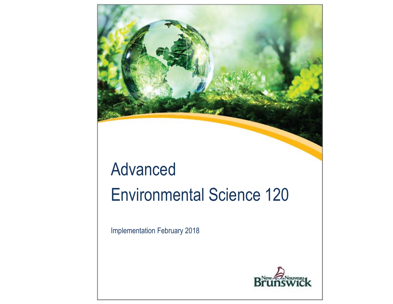

# Advanced Environmental Science 120

Implementation February 2018

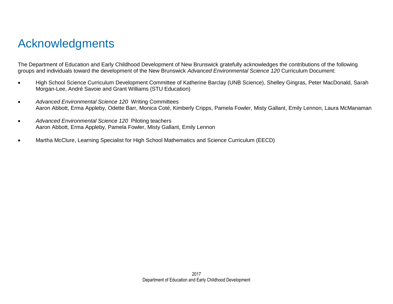## <span id="page-1-0"></span>Acknowledgments

The Department of Education and Early Childhood Development of New Brunswick gratefully acknowledges the contributions of the following groups and individuals toward the development of the New Brunswick *Advanced Environmental Science 120* Curriculum Document:

- High School Science Curriculum Development Committee of Katherine Barclay (UNB Science), Shelley Gingras, Peter MacDonald, Sarah Morgan-Lee, André Savoie and Grant Williams (STU Education)
- *Advanced Environmental Science 120* Writing Committees Aaron Abbott, Erma Appleby, Odette Barr, Monica Coté, Kimberly Cripps, Pamela Fowler, Misty Gallant, Emily Lennon, Laura McManaman
- *Advanced Environmental Science 120* Piloting teachers Aaron Abbott, Erma Appleby, Pamela Fowler, Misty Gallant, Emily Lennon
- Martha McClure, Learning Specialist for High School Mathematics and Science Curriculum (EECD)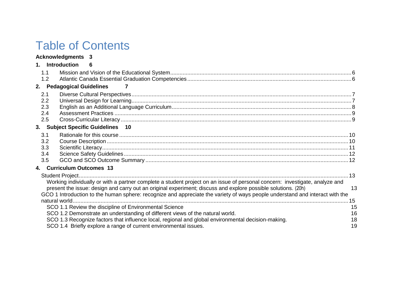## Table of Contents

|                                 | <b>Acknowledgments 3</b>  |                                                                                                                                                                                                                                                                                                                                                                                                                                                                                                                                                                                                                                                                                                   |                            |
|---------------------------------|---------------------------|---------------------------------------------------------------------------------------------------------------------------------------------------------------------------------------------------------------------------------------------------------------------------------------------------------------------------------------------------------------------------------------------------------------------------------------------------------------------------------------------------------------------------------------------------------------------------------------------------------------------------------------------------------------------------------------------------|----------------------------|
|                                 | 1. Introduction           | -6                                                                                                                                                                                                                                                                                                                                                                                                                                                                                                                                                                                                                                                                                                |                            |
| 1.1<br>1.2                      |                           |                                                                                                                                                                                                                                                                                                                                                                                                                                                                                                                                                                                                                                                                                                   |                            |
|                                 | 2. Pedagogical Guidelines |                                                                                                                                                                                                                                                                                                                                                                                                                                                                                                                                                                                                                                                                                                   |                            |
| 2.1<br>2.2<br>2.3<br>2.4<br>2.5 |                           |                                                                                                                                                                                                                                                                                                                                                                                                                                                                                                                                                                                                                                                                                                   |                            |
|                                 |                           | 3. Subject Specific Guidelines 10                                                                                                                                                                                                                                                                                                                                                                                                                                                                                                                                                                                                                                                                 |                            |
| 3.1<br>3.2<br>3.3<br>3.4<br>3.5 |                           |                                                                                                                                                                                                                                                                                                                                                                                                                                                                                                                                                                                                                                                                                                   |                            |
|                                 | 4. Curriculum Outcomes 13 |                                                                                                                                                                                                                                                                                                                                                                                                                                                                                                                                                                                                                                                                                                   |                            |
|                                 |                           | Working individually or with a partner complete a student project on an issue of personal concern: investigate, analyze and<br>present the issue: design and carry out an original experiment; discuss and explore possible solutions. (20h)<br>GCO 1 Introduction to the human sphere: recognize and appreciate the variety of ways people understand and interact with the<br>SCO 1.1 Review the discipline of Environmental Science<br>SCO 1.2 Demonstrate an understanding of different views of the natural world.<br>SCO 1.3 Recognize factors that influence local, regional and global environmental decision-making.<br>SCO 1.4 Briefly explore a range of current environmental issues. | 13<br>15<br>16<br>18<br>19 |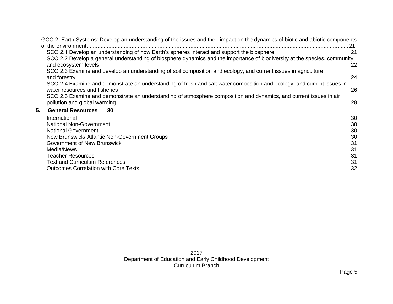|    | GCO 2 Earth Systems: Develop an understanding of the issues and their impact on the dynamics of biotic and abiotic components |    |
|----|-------------------------------------------------------------------------------------------------------------------------------|----|
|    | of the environment                                                                                                            | 21 |
|    | SCO 2.1 Develop an understanding of how Earth's spheres interact and support the biosphere.                                   | 21 |
|    | SCO 2.2 Develop a general understanding of biosphere dynamics and the importance of biodiversity at the species, community    |    |
|    | and ecosystem levels                                                                                                          | 22 |
|    | SCO 2.3 Examine and develop an understanding of soil composition and ecology, and current issues in agriculture               |    |
|    | and forestry                                                                                                                  | 24 |
|    | SCO 2.4 Examine and demonstrate an understanding of fresh and salt water composition and ecology, and current issues in       |    |
|    | water resources and fisheries                                                                                                 | 26 |
|    | SCO 2.5 Examine and demonstrate an understanding of atmosphere composition and dynamics, and current issues in air            |    |
|    | pollution and global warming                                                                                                  | 28 |
| 5. | <b>General Resources</b><br>30                                                                                                |    |
|    | International                                                                                                                 | 30 |
|    | <b>National Non-Government</b>                                                                                                | 30 |
|    | <b>National Government</b>                                                                                                    | 30 |
|    | New Brunswick/Atlantic Non-Government Groups                                                                                  | 30 |
|    | Government of New Brunswick                                                                                                   | 31 |
|    | Media/News                                                                                                                    | 31 |
|    | <b>Teacher Resources</b>                                                                                                      | 31 |
|    | <b>Text and Curriculum References</b>                                                                                         | 31 |
|    | <b>Outcomes Correlation with Core Texts</b>                                                                                   | 32 |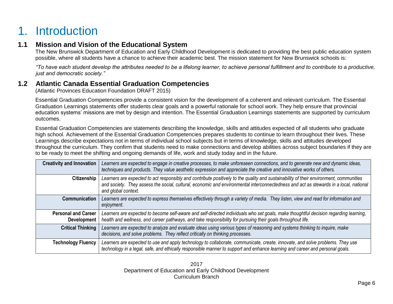## <span id="page-4-0"></span>1. Introduction

## <span id="page-4-1"></span>**1.1 Mission and Vision of the Educational System**

The New Brunswick Department of Education and Early Childhood Development is dedicated to providing the best public education system possible, where all students have a chance to achieve their academic best. The mission statement for New Brunswick schools is:

*"To have each student develop the attributes needed to be a lifelong learner, to achieve personal fulfillment and to contribute to a productive, just and democratic society."*

## <span id="page-4-2"></span>**1.2 Atlantic Canada Essential Graduation Competencies**

(Atlantic Provinces Education Foundation DRAFT 2015)

Essential Graduation Competencies provide a consistent vision for the development of a coherent and relevant curriculum. The Essential Graduation Learnings statements offer students clear goals and a powerful rationale for school work. They help ensure that provincial education systems' missions are met by design and intention. The Essential Graduation Learnings statements are supported by curriculum outcomes.

Essential Graduation Competencies are statements describing the knowledge, skills and attitudes expected of all students who graduate high school. Achievement of the Essential Graduation Competencies prepares students to continue to learn throughout their lives. These Learnings describe expectations not in terms of individual school subjects but in terms of knowledge, skills and attitudes developed throughout the curriculum. They confirm that students need to make connections and develop abilities across subject boundaries if they are to be ready to meet the shifting and ongoing demands of life, work and study today and in the future.

| <b>Creativity and Innovation</b>          | Learners are expected to engage in creative processes, to make unforeseen connections, and to generate new and dynamic ideas,<br>techniques and products. They value aesthetic expression and appreciate the creative and innovative works of others.                                                  |
|-------------------------------------------|--------------------------------------------------------------------------------------------------------------------------------------------------------------------------------------------------------------------------------------------------------------------------------------------------------|
| Citizenship                               | Learners are expected to act responsibly and contribute positively to the quality and sustainability of their environment, communities<br>and society. They assess the social, cultural, economic and environmental interconnectedness and act as stewards in a local, national<br>and global context. |
| <b>Communication</b>                      | Learners are expected to express themselves effectively through a variety of media. They listen, view and read for information and<br>enjoyment.                                                                                                                                                       |
| <b>Personal and Career</b><br>Development | Learners are expected to become self-aware and self-directed individuals who set goals, make thoughtful decision regarding learning,<br>health and wellness, and career pathways, and take responsibility for pursuing their goals throughout life.                                                    |
| <b>Critical Thinking</b>                  | Learners are expected to analyze and evaluate ideas using various types of reasoning and systems thinking to inquire, make<br>decisions, and solve problems. They reflect critically on thinking processes.                                                                                            |
| <b>Technology Fluency</b>                 | Learners are expected to use and apply technology to collaborate, communicate, create, innovate, and solve problems. They use<br>technology in a legal, safe, and ethically responsible manner to support and enhance learning and career and personal goals.                                          |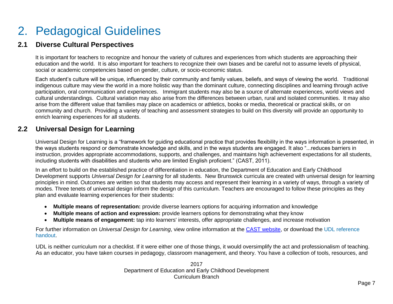## <span id="page-5-0"></span>2. Pedagogical Guidelines

## <span id="page-5-1"></span>**2.1 Diverse Cultural Perspectives**

It is important for teachers to recognize and honour the variety of cultures and experiences from which students are approaching their education and the world. It is also important for teachers to recognize their own biases and be careful not to assume levels of physical, social or academic competencies based on gender, culture, or socio-economic status.

Each student's culture will be unique, influenced by their community and family values, beliefs, and ways of viewing the world. Traditional indigenous culture may view the world in a more holistic way than the dominant culture, connecting disciplines and learning through active participation, oral communication and experiences. Immigrant students may also be a source of alternate experiences, world views and cultural understandings. Cultural variation may also arise from the differences between urban, rural and isolated communities. It may also arise from the different value that families may place on academics or athletics, books or media, theoretical or practical skills, or on community and church. Providing a variety of teaching and assessment strategies to build on this diversity will provide an opportunity to enrich learning experiences for all students.

## <span id="page-5-2"></span>**2.2 Universal Design for Learning**

Universal Design for Learning is a "framework for guiding educational practice that provides flexibility in the ways information is presented, in the ways students respond or demonstrate knowledge and skills, and in the ways students are engaged. It also "...reduces barriers in instruction, provides appropriate accommodations, supports, and challenges, and maintains high achievement expectations for all students, including students with disabilities and students who are limited English proficient." (CAST, 2011).

In an effort to build on the established practice of differentiation in education, the Department of Education and Early Childhood Development supports *Universal Design for Learning* for all students. New Brunswick curricula are created with universal design for learning principles in mind. Outcomes are written so that students may access and represent their learning in a variety of ways, through a variety of modes. Three tenets of universal design inform the design of this curriculum. Teachers are encouraged to follow these principles as they plan and evaluate learning experiences for their students:

- **Multiple means of representation:** provide diverse learners options for acquiring information and knowledge
- **Multiple means of action and expression:** provide learners options for demonstrating what they know
- **Multiple means of engagement:** tap into learners' interests, offer appropriate challenges, and increase motivation

For further information on *Universal Design for Learning*, view online information at [the CAST website,](http://www.cast.org/) or download the [UDL reference](https://portal.nbed.nb.ca/pd/Reading/UDL_PD/UDL%20Docs/October%20PD%20Day/Oct%2010%20Intro/Oct10_Intro%20output/story_content/external_files/Quick_Reference.pdf)  [handout.](https://portal.nbed.nb.ca/pd/Reading/UDL_PD/UDL%20Docs/October%20PD%20Day/Oct%2010%20Intro/Oct10_Intro%20output/story_content/external_files/Quick_Reference.pdf)

UDL is neither curriculum nor a checklist. If it were either one of those things, it would oversimplify the act and professionalism of teaching. As an educator, you have taken courses in pedagogy, classroom management, and theory. You have a collection of tools, resources, and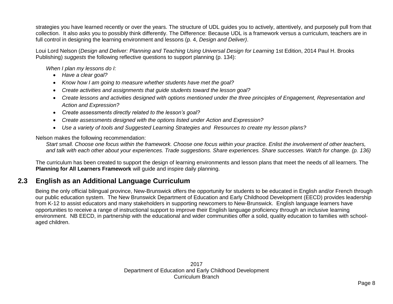strategies you have learned recently or over the years. The structure of UDL guides you to actively, attentively, and purposely pull from that collection. It also asks you to possibly think differently. The Difference: Because UDL is a framework versus a curriculum, teachers are in full control in designing the learning environment and lessons (p. 4, *Design and Deliver)*.

Loui Lord Nelson (*Design and Deliver: Planning and Teaching Using Universal Design for Learning* 1st Edition, 2014 Paul H. Brooks Publishing) *suggests* the following reflective questions to support planning (p. 134):

*When I plan my lessons do I:*

- *Have a clear goal?*
- *Know how I am going to measure whether students have met the goal?*
- *Create activities and assignments that guide students toward the lesson goal?*
- *Create lessons and activities designed with options mentioned under the three principles of Engagement, Representation and Action and Expression?*
- *Create assessments directly related to the lesson's goal?*
- *Create assessments designed with the options listed under Action and Expression?*
- *Use a variety of tools and Suggested Learning Strategies and Resources to create my lesson plans?*

Nelson makes the following recommendation:

*Start small. Choose one focus within the framework. Choose one focus within your practice. Enlist the involvement of other teachers, and talk with each other about your experiences. Trade suggestions. Share experiences. Share successes. Watch for change. (p. 136)*

The curriculum has been created to support the design of learning environments and lesson plans that meet the needs of all learners. The **Planning for All Learners Framework** will guide and inspire daily planning.

## <span id="page-6-0"></span>**2.3 English as an Additional Language Curriculum**

Being the only official bilingual province, New-Brunswick offers the opportunity for students to be educated in English and/or French through our public education system. The New Brunswick Department of Education and Early Childhood Development (EECD) provides leadership from K-12 to assist educators and many stakeholders in supporting newcomers to New-Brunswick. English language learners have opportunities to receive a range of instructional support to improve their English language proficiency through an inclusive learning environment. NB EECD, in partnership with the educational and wider communities offer a solid, quality education to families with schoolaged children.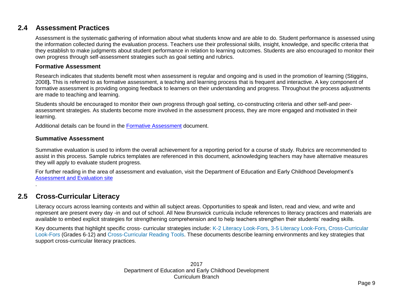## <span id="page-7-0"></span>**2.4 Assessment Practices**

Assessment is the systematic gathering of information about what students know and are able to do. Student performance is assessed using the information collected during the evaluation process. Teachers use their professional skills, insight, knowledge, and specific criteria that they establish to make judgments about student performance in relation to learning outcomes. Students are also encouraged to monitor their own progress through self-assessment strategies such as goal setting and rubrics.

#### **Formative Assessment**

Research indicates that students benefit most when assessment is regular and ongoing and is used in the promotion of learning (Stiggins, 2008**).** This is referred to as formative assessment, a teaching and learning process that is frequent and interactive. A key component of formative assessment is providing ongoing feedback to learners on their understanding and progress. Throughout the process adjustments are made to teaching and learning.

Students should be encouraged to monitor their own progress through goal setting, co-constructing criteria and other self-and peerassessment strategies. As students become more involved in the assessment process, they are more engaged and motivated in their learning.

Additional details can be found in the [Formative Assessment](https://portal.nbed.nb.ca/tr/lr/fora/General%20Formative%20Assessment%20Resources/Formative%20Assessment%20Foldout.pdf) document.

#### **Summative Assessment**

Summative evaluation is used to inform the overall achievement for a reporting period for a course of study. Rubrics are recommended to assist in this process. Sample rubrics templates are referenced in this document, acknowledging teachers may have alternative measures they will apply to evaluate student progress.

For further reading in the area of assessment and evaluation, visit the Department of Education and Early Childhood Development's [Assessment and Evaluation site](https://portal.nbed.nb.ca/tr/AaE/Pages/default.aspx)

## <span id="page-7-1"></span>**2.5 Cross-Curricular Literacy**

.

Literacy occurs across learning contexts and within all subject areas. Opportunities to speak and listen, read and view, and write and represent are present every day -in and out of school. All New Brunswick curricula include references to literacy practices and materials are available to embed explicit strategies for strengthening comprehension and to help teachers strengthen their students' reading skills.

Key documents that highlight specific cross- curricular strategies include: [K-2 Literacy Look-Fors,](https://portal.nbed.nb.ca/tr/lr/Elementary%20School%20English%20Lang/Literacy%20Look%20Fors/Literacy%20Look%20Fors%20K%20-%202%20with%20Links.pdf) [3-5 Literacy Look-Fors,](https://portal.nbed.nb.ca/tr/lr/Elementary%20School%20English%20Lang/Literacy%20Look%20Fors/Literacy%20Look%20Fors%20Grades%203%20-%205%20with%20links.pdf) [Cross-Curricular](https://portal.nbed.nb.ca/tr/lr/Curriculum%20Support%20Resources/CCLF%20Portal%20Version%20Links.pdf)  [Look-Fors](https://portal.nbed.nb.ca/tr/lr/Curriculum%20Support%20Resources/CCLF%20Portal%20Version%20Links.pdf) (Grades 6-12) and [Cross-Curricular Reading Tools.](https://portal.nbed.nb.ca/tr/lr/Curriculum%20Support%20Resources/Cross-Curricular%20Reading%20Tools.pdf) These documents describe learning environments and key strategies that support cross-curricular literacy practices.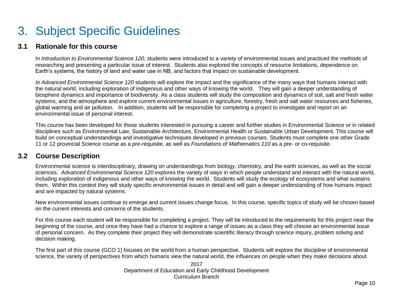## <span id="page-8-0"></span>3. Subject Specific Guidelines

### <span id="page-8-1"></span>**3.1 Rationale for this course**

In *Introduction to Environmental Science 120*, students were introduced to a variety of environmental issues and practiced the methods of researching and presenting a particular issue of interest. Students also explored the concepts of resource limitations, dependence on Earth's systems, the history of land and water use in NB, and factors that impact on sustainable development.

*In Advanced Environmental Science 120* students will explore the impact and the significance of the many ways that humans interact with the natural world, including exploration of indigenous and other ways of knowing the world. They will gain a deeper understanding of biosphere dynamics and importance of biodiversity. As a class students will study the composition and dynamics of soil, salt and fresh water systems, and the atmosphere and explore current environmental issues in agriculture, forestry, fresh and salt water resources and fisheries, global warming and air pollution. In addition, students will be responsible for completing a project to investigate and report on an environmental issue of personal interest.

This course has been developed for those students interested in pursuing a career and further studies in Environmental Science or in related disciplines such as Environmental Law, Sustainable Architecture, Environmental Health or Sustainable Urban Development. This course will build on conceptual understandings and investigative techniques developed in previous courses. Students must complete one other Grade 11 or 12 provincial Science course as a pre-requisite, as well as *Foundations of Mathematics 110* as a pre- or co-requisite.

## <span id="page-8-2"></span>**3.2 Course Description**

Environmental science is interdisciplinary, drawing on understandings from biology, chemistry, and the earth sciences, as well as the social sciences. *Advanced Environmental Science 120* explores the variety of ways in which people understand and interact with the natural world, including exploration of indigenous and other ways of knowing the world. Students will study the ecology of ecosystems and what sustains them. Within this context they will study specific environmental issues in detail and will gain a deeper understanding of how humans impact and are impacted by natural systems.

New environmental issues continue to emerge and current issues change focus. In this course, specific topics of study will be chosen based on the current interests and concerns of the students.

For this course each student will be responsible for completing a project. They will be introduced to the requirements for this project near the beginning of the course, and once they have had a chance to explore a range of issues as a class they will choose an environmental issue of personal concern. As they complete their project they will demonstrate scientific literacy through science inquiry, problem solving and decision making.

The first part of this course (GCO 1) focuses on the world from a human perspective. Students will explore the discipline of environmental science, the variety of perspectives from which humans view the natural world, the influences on people when they make decisions about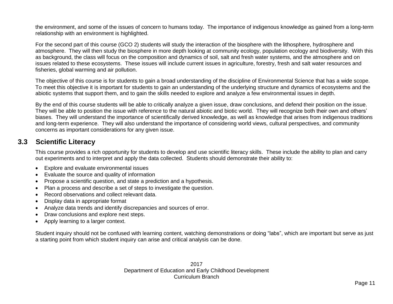the environment, and some of the issues of concern to humans today. The importance of indigenous knowledge as gained from a long-term relationship with an environment is highlighted.

For the second part of this course (GCO 2) students will study the interaction of the biosphere with the lithosphere, hydrosphere and atmosphere. They will then study the biosphere in more depth looking at community ecology, population ecology and biodiversity. With this as background, the class will focus on the composition and dynamics of soil, salt and fresh water systems, and the atmosphere and on issues related to these ecosystems. These issues will include current issues in agriculture, forestry, fresh and salt water resources and fisheries, global warming and air pollution.

The objective of this course is for students to gain a broad understanding of the discipline of Environmental Science that has a wide scope. To meet this objective it is important for students to gain an understanding of the underlying structure and dynamics of ecosystems and the abiotic systems that support them, and to gain the skills needed to explore and analyze a few environmental issues in depth.

By the end of this course students will be able to critically analyze a given issue, draw conclusions, and defend their position on the issue. They will be able to position the issue with reference to the natural abiotic and biotic world. They will recognize both their own and others' biases. They will understand the importance of scientifically derived knowledge, as well as knowledge that arises from indigenous traditions and long-term experience. They will also understand the importance of considering world views, cultural perspectives, and community concerns as important considerations for any given issue.

### <span id="page-9-0"></span>**3.3 Scientific Literacy**

This course provides a rich opportunity for students to develop and use scientific literacy skills. These include the ability to plan and carry out experiments and to interpret and apply the data collected. Students should demonstrate their ability to:

- Explore and evaluate environmental issues
- Evaluate the source and quality of information
- Propose a scientific question, and state a prediction and a hypothesis.
- Plan a process and describe a set of steps to investigate the question.
- Record observations and collect relevant data.
- Display data in appropriate format
- Analyze data trends and identify discrepancies and sources of error.
- Draw conclusions and explore next steps.
- Apply learning to a larger context.

Student inquiry should not be confused with learning content, watching demonstrations or doing "labs", which are important but serve as just a starting point from which student inquiry can arise and critical analysis can be done.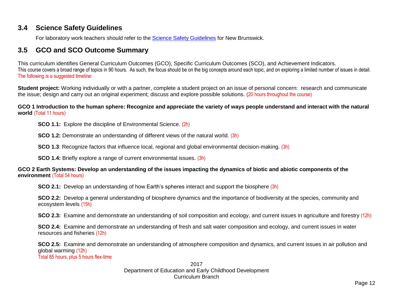### <span id="page-10-0"></span>**3.4 Science Safety Guidelines**

For laboratory work teachers should refer to the [Science Safety Guidelines](https://portal.nbed.nb.ca/tr/cd/Documents/Science%20Safety%20Guidelines%20(Draft%20June%202009).pdf) for New Brunswick.

### <span id="page-10-1"></span>**3.5 GCO and SCO Outcome Summary**

This curriculum identifies General Curriculum Outcomes (GCO), Specific Curriculum Outcomes (SCO), and Achievement Indicators. This course covers a broad range of topics in 90 hours. As such, the focus should be on the big concepts around each topic, and on exploring a limited number of issues in detail. The following is a suggested timeline:

**Student project:** Working individually or with a partner, complete a student project on an issue of personal concern: research and communicate the issue; design and carry out an original experiment; discuss and explore possible solutions. (20 hours throughout the course)

#### **GCO 1 Introduction to the human sphere: Recognize and appreciate the variety of ways people understand and interact with the natural world** (Total 11 hours)

**SCO 1.1:** Explore the discipline of Environmental Science. (2h)

**SCO 1.2:** Demonstrate an understanding of different views of the natural world. (3h)

**SCO 1.3**: Recognize factors that influence local, regional and global environmental decision-making. (3h)

**SCO 1.4:** Briefly explore a range of current environmental issues. (3h)

#### **GCO 2 Earth Systems: Develop an understanding of the issues impacting the dynamics of biotic and abiotic components of the environment** (Total 54 hours)

**SCO 2.1:** Develop an understanding of how Earth's spheres interact and support the biosphere (3h)

**SCO 2.2:** Develop a general understanding of biosphere dynamics and the importance of biodiversity at the species, community and ecosystem levels (15h)

**SCO 2.3:** Examine and demonstrate an understanding of soil composition and ecology, and current issues in agriculture and forestry (12h)

**SCO 2.4:** Examine and demonstrate an understanding of fresh and salt water composition and ecology, and current issues in water resources and fisheries (12h)

**SCO 2.5:** Examine and demonstrate an understanding of atmosphere composition and dynamics, and current issues in air pollution and global warming (12h) Total 85 hours, plus 5 hours flex-time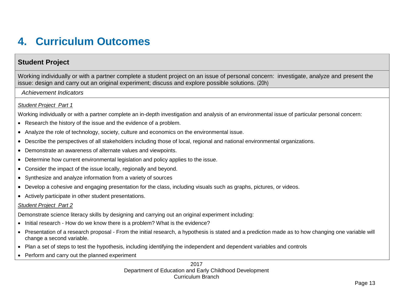## <span id="page-11-0"></span>**4. Curriculum Outcomes**

## <span id="page-11-1"></span>**Student Project**

<span id="page-11-2"></span>Working individually or with a partner complete a student project on an issue of personal concern: investigate, analyze and present the issue: design and carry out an original experiment; discuss and explore possible solutions. (20h)

*Achievement Indicators*

#### *Student Project Part 1*

Working individually or with a partner complete an in-depth investigation and analysis of an environmental issue of particular personal concern:

- Research the history of the issue and the evidence of a problem.
- Analyze the role of technology, society, culture and economics on the environmental issue.
- Describe the perspectives of all stakeholders including those of local, regional and national environmental organizations.
- Demonstrate an awareness of alternate values and viewpoints.
- Determine how current environmental legislation and policy applies to the issue.
- Consider the impact of the issue locally, regionally and beyond.
- Synthesize and analyze information from a variety of sources
- Develop a cohesive and engaging presentation for the class, including visuals such as graphs, pictures, or videos.
- Actively participate in other student presentations.

#### *Student Project Part 2*

Demonstrate science literacy skills by designing and carrying out an original experiment including:

- Initial research How do we know there is a problem? What is the evidence?
- Presentation of a research proposal From the initial research, a hypothesis is stated and a prediction made as to how changing one variable will change a second variable.
- Plan a set of steps to test the hypothesis, including identifying the independent and dependent variables and controls
- Perform and carry out the planned experiment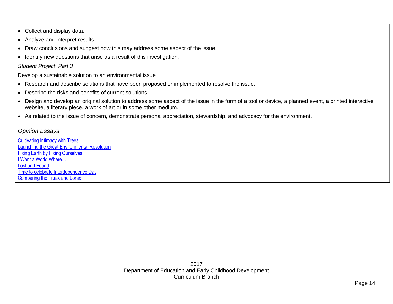- Collect and display data.
- Analyze and interpret results.
- Draw conclusions and suggest how this may address some aspect of the issue.
- Identify new questions that arise as a result of this investigation.

#### *Student Project Part 3*

Develop a sustainable solution to an environmental issue

- Research and describe solutions that have been proposed or implemented to resolve the issue.
- Describe the risks and benefits of current solutions.
- Design and develop an original solution to address some aspect of the issue in the form of a tool or device, a planned event, a printed interactive website, a literary piece, a work of art or in some other medium.
- As related to the issue of concern, demonstrate personal appreciation, stewardship, and advocacy for the environment.

#### *Opinion Essays*

[Cultivating Intimacy with Trees](https://docs.google.com/viewer?a=v&pid=sites&srcid=ZGVmYXVsdGRvbWFpbnxhcGVzbGlua3MxfGd4OjUwNzQzNzE3NTI0ODU4ODI) [Launching the Great Environmental Revolution](https://docs.google.com/viewer?a=v&pid=sites&srcid=ZGVmYXVsdGRvbWFpbnxhcGVzbGlua3MxfGd4OjcwZGMzYzU2Zjc0ZDU5NGE) [Fixing Earth by Fixing Ourselves](https://docs.google.com/viewer?a=v&pid=sites&srcid=ZGVmYXVsdGRvbWFpbnxhcGVzbGlua3MxfGd4OjIzNTUwMWQzNTVjODBlMDM) [I Want a World Where…](https://docs.google.com/viewer?a=v&pid=sites&srcid=ZGVmYXVsdGRvbWFpbnxhcGVzbGlua3MxfGd4OjcxZGJiYmI1ZDRiMmFkMjg) [Lost and Found](https://docs.google.com/viewer?a=v&pid=sites&srcid=ZGVmYXVsdGRvbWFpbnxhcGVzbGlua3MxfGd4OjFlYWMzMDdhNTM2OTczOA) [Time to celebrate Interdependence](https://docs.google.com/viewer?a=v&pid=sites&srcid=ZGVmYXVsdGRvbWFpbnxhcGVzbGlua3MxfGd4OjU2ODgyMmE5MmI4NTJjYTQ) Day [Comparing the Truax and Lorax](https://docs.google.com/viewer?a=v&pid=sites&srcid=ZGVmYXVsdGRvbWFpbnxhcGVzbGlua3MxfGd4OjdhOTBlMjFjNTg1MzI5ZTg)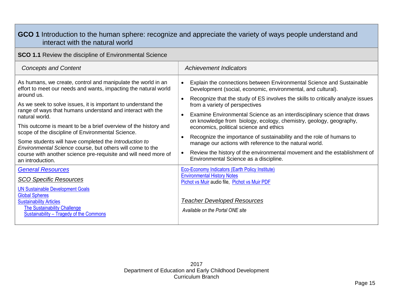<span id="page-13-1"></span><span id="page-13-0"></span>

| GCO 1 Introduction to the human sphere: recognize and appreciate the variety of ways people understand and<br>interact with the natural world                                                                                                                                                                                                                                                                                                                                                                                                                                                                                       |                                                                                                                                                                                                                                                                                                                                                                                                                                                                                                                                                                                                                                                                                                                                                                       |  |  |
|-------------------------------------------------------------------------------------------------------------------------------------------------------------------------------------------------------------------------------------------------------------------------------------------------------------------------------------------------------------------------------------------------------------------------------------------------------------------------------------------------------------------------------------------------------------------------------------------------------------------------------------|-----------------------------------------------------------------------------------------------------------------------------------------------------------------------------------------------------------------------------------------------------------------------------------------------------------------------------------------------------------------------------------------------------------------------------------------------------------------------------------------------------------------------------------------------------------------------------------------------------------------------------------------------------------------------------------------------------------------------------------------------------------------------|--|--|
| <b>SCO 1.1</b> Review the discipline of Environmental Science                                                                                                                                                                                                                                                                                                                                                                                                                                                                                                                                                                       |                                                                                                                                                                                                                                                                                                                                                                                                                                                                                                                                                                                                                                                                                                                                                                       |  |  |
| <b>Concepts and Content</b>                                                                                                                                                                                                                                                                                                                                                                                                                                                                                                                                                                                                         | <b>Achievement Indicators</b>                                                                                                                                                                                                                                                                                                                                                                                                                                                                                                                                                                                                                                                                                                                                         |  |  |
| As humans, we create, control and manipulate the world in an<br>effort to meet our needs and wants, impacting the natural world<br>around us.<br>As we seek to solve issues, it is important to understand the<br>range of ways that humans understand and interact with the<br>natural world.<br>This outcome is meant to be a brief overview of the history and<br>scope of the discipline of Environmental Science.<br>Some students will have completed the Introduction to<br>Environmental Science course, but others will come to the<br>course with another science pre-requisite and will need more of<br>an introduction. | Explain the connections between Environmental Science and Sustainable<br>$\bullet$<br>Development (social, economic, environmental, and cultural).<br>Recognize that the study of ES involves the skills to critically analyze issues<br>$\bullet$<br>from a variety of perspectives<br>Examine Environmental Science as an interdisciplinary science that draws<br>$\bullet$<br>on knowledge from biology, ecology, chemistry, geology, geography,<br>economics, political science and ethics<br>Recognize the importance of sustainability and the role of humans to<br>manage our actions with reference to the natural world.<br>Review the history of the environmental movement and the establishment of<br>$\bullet$<br>Environmental Science as a discipline. |  |  |
| <b>General Resources</b><br><b>SCO Specific Resources</b><br><b>UN Sustainable Development Goals</b><br><b>Global Spheres</b><br><b>Sustainability Articles</b><br><b>The Sustainability Challenge</b><br>Sustainability - Tragedy of the Commons                                                                                                                                                                                                                                                                                                                                                                                   | <b>Eco-Economy Indicators (Earth Policy Institute)</b><br><b>Environmental History Notes</b><br>Pichot vs Muir audio file, Pichot vs Muir PDF<br><b>Teacher Developed Resources</b><br>Available on the Portal ONE site                                                                                                                                                                                                                                                                                                                                                                                                                                                                                                                                               |  |  |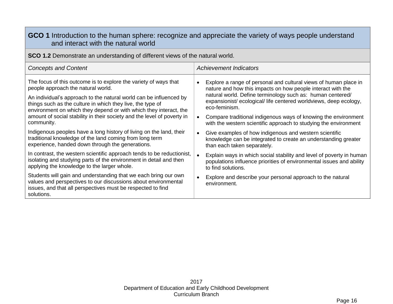## **GCO 1** Introduction to the human sphere: recognize and appreciate the variety of ways people understand and interact with the natural world

<span id="page-14-0"></span>**SCO 1.2** Demonstrate an understanding of different views of the natural world.

| <b>Concepts and Content</b>                                                                                                                                                                                                                                                                                     | <b>Achievement Indicators</b>                                                                                                                                                                                                                                                                  |  |  |
|-----------------------------------------------------------------------------------------------------------------------------------------------------------------------------------------------------------------------------------------------------------------------------------------------------------------|------------------------------------------------------------------------------------------------------------------------------------------------------------------------------------------------------------------------------------------------------------------------------------------------|--|--|
| The focus of this outcome is to explore the variety of ways that<br>people approach the natural world.<br>An individual's approach to the natural world can be influenced by<br>things such as the culture in which they live, the type of<br>environment on which they depend or with which they interact, the | Explore a range of personal and cultural views of human place in<br>$\bullet$<br>nature and how this impacts on how people interact with the<br>natural world. Define terminology such as: human centered/<br>expansionist/ecological/life centered worldviews, deep ecology,<br>eco-feminism. |  |  |
| amount of social stability in their society and the level of poverty in<br>community.                                                                                                                                                                                                                           | Compare traditional indigenous ways of knowing the environment<br>with the western scientific approach to studying the environment                                                                                                                                                             |  |  |
| Indigenous peoples have a long history of living on the land, their<br>traditional knowledge of the land coming from long term<br>experience, handed down through the generations.                                                                                                                              | Give examples of how indigenous and western scientific<br>$\bullet$<br>knowledge can be integrated to create an understanding greater<br>than each taken separately.                                                                                                                           |  |  |
| In contrast, the western scientific approach tends to be reductionist,<br>isolating and studying parts of the environment in detail and then<br>applying the knowledge to the larger whole.                                                                                                                     | Explain ways in which social stability and level of poverty in human<br>populations influence priorities of environmental issues and ability<br>to find solutions.                                                                                                                             |  |  |
| Students will gain and understanding that we each bring our own<br>values and perspectives to our discussions about environmental<br>issues, and that all perspectives must be respected to find<br>solutions.                                                                                                  | Explore and describe your personal approach to the natural<br>environment.                                                                                                                                                                                                                     |  |  |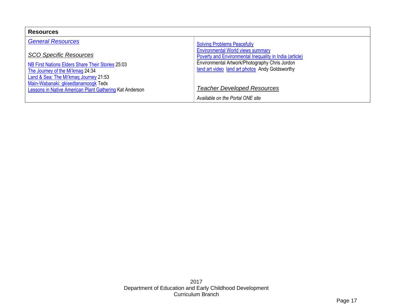| <b>Resources</b>                                                                                                                                                                                       |                                                                                                                                                                                                          |  |  |
|--------------------------------------------------------------------------------------------------------------------------------------------------------------------------------------------------------|----------------------------------------------------------------------------------------------------------------------------------------------------------------------------------------------------------|--|--|
| <b>General Resources</b>                                                                                                                                                                               | <b>Solving Problems Peacefully</b>                                                                                                                                                                       |  |  |
| <b>SCO Specific Resources</b><br>NB First Nations Elders Share Their Stories 25:03<br>The Journey of the Mi'kmag 24:34<br>Land & Sea: The Mi'kmaq Journey 21:53<br>Main-Wabanaki: gkisedtanamoogk Tedx | <b>Environmental World views summary</b><br>Poverty and Environmental Inequality in India (article)<br>Environmental Artwork/Photography Chris Jordon<br>land art video land art photos Andy Goldsworthy |  |  |
| Lessons in Native American Plant Gathering Kat Anderson                                                                                                                                                | <b>Teacher Developed Resources</b>                                                                                                                                                                       |  |  |
|                                                                                                                                                                                                        | Available on the Portal ONE site                                                                                                                                                                         |  |  |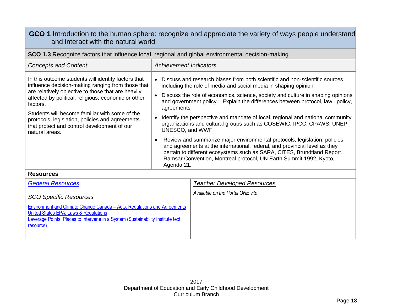## **GCO 1** Introduction to the human sphere: recognize and appreciate the variety of ways people understand and interact with the natural world

<span id="page-16-0"></span>

| <b>SCO 1.3</b> Recognize factors that influence local, regional and global environmental decision-making.                                                                                                                                                                                                                                                                                               |                                                                                                                                                                                                                                                                                                                                                                                                                                                                                                                                                                                                                                                                                                                                                                                                                                                 |  |  |  |
|---------------------------------------------------------------------------------------------------------------------------------------------------------------------------------------------------------------------------------------------------------------------------------------------------------------------------------------------------------------------------------------------------------|-------------------------------------------------------------------------------------------------------------------------------------------------------------------------------------------------------------------------------------------------------------------------------------------------------------------------------------------------------------------------------------------------------------------------------------------------------------------------------------------------------------------------------------------------------------------------------------------------------------------------------------------------------------------------------------------------------------------------------------------------------------------------------------------------------------------------------------------------|--|--|--|
| <b>Concepts and Content</b>                                                                                                                                                                                                                                                                                                                                                                             | <b>Achievement Indicators</b>                                                                                                                                                                                                                                                                                                                                                                                                                                                                                                                                                                                                                                                                                                                                                                                                                   |  |  |  |
| In this outcome students will identify factors that<br>influence decision-making ranging from those that<br>are relatively objective to those that are heavily<br>affected by political, religious, economic or other<br>factors.<br>Students will become familiar with some of the<br>protocols, legislation, policies and agreements<br>that protect and control development of our<br>natural areas. | Discuss and research biases from both scientific and non-scientific sources<br>including the role of media and social media in shaping opinion.<br>Discuss the role of economics, science, society and culture in shaping opinions<br>and government policy. Explain the differences between protocol, law, policy,<br>agreements<br>Identify the perspective and mandate of local, regional and national community<br>organizations and cultural groups such as COSEWIC, IPCC, CPAWS, UNEP,<br>UNESCO, and WWF.<br>Review and summarize major environmental protocols, legislation, policies<br>٠<br>and agreements at the international, federal, and provincial level as they<br>pertain to different ecosystems such as SARA, CITES, Brundtland Report,<br>Ramsar Convention, Montreal protocol, UN Earth Summit 1992, Kyoto,<br>Agenda 21. |  |  |  |

#### **Resources**

| <b>General Resources</b>                                                                                                                                                                                          | <b>Teacher Developed Resources</b> |
|-------------------------------------------------------------------------------------------------------------------------------------------------------------------------------------------------------------------|------------------------------------|
| <b>SCO Specific Resources</b>                                                                                                                                                                                     | Available on the Portal ONE site   |
| Environment and Climate Change Canada – Acts, Regulations and Agreements<br>United States EPA: Laws & Regulations<br>Leverage Points: Places to Intervene in a System (Sustainability Institute text<br>resource) |                                    |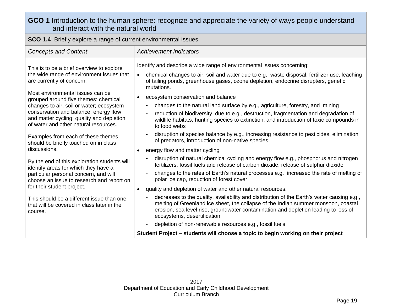## **GCO 1** Introduction to the human sphere: recognize and appreciate the variety of ways people understand and interact with the natural world

<span id="page-17-0"></span>**SCO 1.4** Briefly explore a range of current environmental issues.

| <b>Concepts and Content</b>                                                                                                                                                                                     | <b>Achievement Indicators</b>                                                                                                                                                                                                                                                                                                                                                      |  |  |
|-----------------------------------------------------------------------------------------------------------------------------------------------------------------------------------------------------------------|------------------------------------------------------------------------------------------------------------------------------------------------------------------------------------------------------------------------------------------------------------------------------------------------------------------------------------------------------------------------------------|--|--|
| This is to be a brief overview to explore<br>the wide range of environment issues that<br>are currently of concern.<br>Most environmental issues can be                                                         | Identify and describe a wide range of environmental issues concerning:<br>chemical changes to air, soil and water due to e.g., waste disposal, fertilizer use, leaching<br>of tailing ponds, greenhouse gases, ozone depletion, endocrine disrupters, genetic<br>mutations.<br>ecosystem conservation and balance                                                                  |  |  |
| grouped around five themes: chemical<br>changes to air, soil or water; ecosystem<br>conservation and balance; energy flow<br>and matter cycling; quality and depletion<br>of water and other natural resources. | $\bullet$<br>changes to the natural land surface by e.g., agriculture, forestry, and mining<br>reduction of biodiversity due to e.g., destruction, fragmentation and degradation of<br>÷<br>wildlife habitats, hunting species to extinction, and introduction of toxic compounds in<br>to food webs                                                                               |  |  |
| Examples from each of these themes<br>should be briefly touched on in class<br>discussions.                                                                                                                     | disruption of species balance by e.g., increasing resistance to pesticides, elimination<br>$\overline{\phantom{a}}$<br>of predators, introduction of non-native species<br>energy flow and matter cycling                                                                                                                                                                          |  |  |
| By the end of this exploration students will<br>identify areas for which they have a<br>particular personal concern, and will<br>choose an issue to research and report on                                      | disruption of natural chemical cycling and energy flow e.g., phosphorus and nitrogen<br>÷<br>fertilizers, fossil fuels and release of carbon dioxide, release of sulphur dioxide<br>changes to the rates of Earth's natural processes e.g. increased the rate of melting of<br>polar ice cap, reduction of forest cover                                                            |  |  |
| for their student project.<br>This should be a different issue than one<br>that will be covered in class later in the<br>course.                                                                                | quality and depletion of water and other natural resources.<br>$\bullet$<br>decreases to the quality, availability and distribution of the Earth's water causing e.g.,<br>melting of Greenland ice sheet, the collapse of the Indian summer monsoon, coastal<br>erosion, sea level rise, groundwater contamination and depletion leading to loss of<br>ecosystems, desertification |  |  |
|                                                                                                                                                                                                                 | depletion of non-renewable resources e.g., fossil fuels<br>$\qquad \qquad \blacksquare$<br>Student Project – students will choose a topic to begin working on their project                                                                                                                                                                                                        |  |  |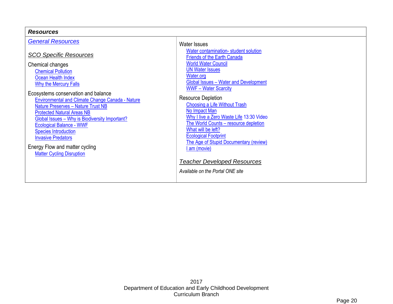| <b>Resources</b>                                                                                                                                                                                                        |                                                                                                                                                                                                                   |
|-------------------------------------------------------------------------------------------------------------------------------------------------------------------------------------------------------------------------|-------------------------------------------------------------------------------------------------------------------------------------------------------------------------------------------------------------------|
| <b>General Resources</b><br><b>SCO Specific Resources</b><br>Chemical changes                                                                                                                                           | <b>Water Issues</b><br>Water contamination-student solution<br><b>Friends of the Earth Canada</b><br><b>World Water Council</b><br><b>UN Water Issues</b>                                                         |
| <b>Chemical Pollution</b><br>Ocean Health Index<br><b>Why the Mercury Falls</b><br>Ecosystems conservation and balance<br>Environmental and Climate Change Canada - Nature<br><b>Nature Preserves - Nature Trust NB</b> | Water.org<br><b>Global Issues - Water and Development</b><br><b>WWF-Water Scarcity</b><br><b>Resource Depletion</b><br><b>Choosing a Life Without Trash</b>                                                       |
| <b>Protected Natural Areas NB</b><br>Global Issues - Why is Biodiversity Important?<br><b>Ecological Balance - WWF</b><br><b>Species Introduction</b><br><b>Invasive Predators</b><br>Energy Flow and matter cycling    | No Impact Man<br>Why I live a Zero Waste Life 13:30 Video<br>The World Counts - resource depletion<br>What will be left?<br><b>Ecological Footprint</b><br>The Age of Stupid Documentary (review)<br>I am (movie) |
| <b>Matter Cycling Disruption</b>                                                                                                                                                                                        | <b>Teacher Developed Resources</b><br>Available on the Portal ONE site                                                                                                                                            |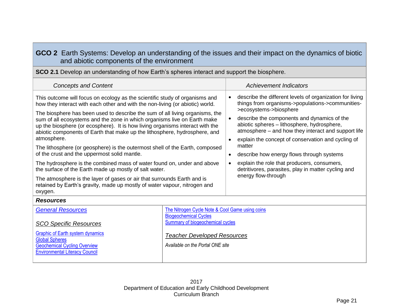## <span id="page-19-0"></span>**GCO 2** Earth Systems: Develop an understanding of the issues and their impact on the dynamics of biotic and abiotic components of the environment

<span id="page-19-1"></span>

| <b>SCO 2.1</b> Develop an understanding of how Earth's spheres interact and support the biosphere.                                                                                                                                                                                                                                                                                                                                                                                                                                                                                                                                                                                                                                                                                                                                                                                                                                  |  |                                                               |                                                                                                                                                                                                                                                                                                                                                                                                                                                                                                                                       |  |
|-------------------------------------------------------------------------------------------------------------------------------------------------------------------------------------------------------------------------------------------------------------------------------------------------------------------------------------------------------------------------------------------------------------------------------------------------------------------------------------------------------------------------------------------------------------------------------------------------------------------------------------------------------------------------------------------------------------------------------------------------------------------------------------------------------------------------------------------------------------------------------------------------------------------------------------|--|---------------------------------------------------------------|---------------------------------------------------------------------------------------------------------------------------------------------------------------------------------------------------------------------------------------------------------------------------------------------------------------------------------------------------------------------------------------------------------------------------------------------------------------------------------------------------------------------------------------|--|
| <b>Concepts and Content</b>                                                                                                                                                                                                                                                                                                                                                                                                                                                                                                                                                                                                                                                                                                                                                                                                                                                                                                         |  |                                                               | <b>Achievement Indicators</b>                                                                                                                                                                                                                                                                                                                                                                                                                                                                                                         |  |
| This outcome will focus on ecology as the scientific study of organisms and<br>how they interact with each other and with the non-living (or abiotic) world.<br>The biosphere has been used to describe the sum of all living organisms, the<br>sum of all ecosystems and the zone in which organisms live on Earth make<br>up the biosphere (or ecosphere). It is how living organisms interact with the<br>abiotic components of Earth that make up the lithosphere, hydrosphere, and<br>atmosphere.<br>The lithosphere (or geosphere) is the outermost shell of the Earth, composed<br>of the crust and the uppermost solid mantle.<br>The hydrosphere is the combined mass of water found on, under and above<br>the surface of the Earth made up mostly of salt water.<br>The atmosphere is the layer of gases or air that surrounds Earth and is<br>retained by Earth's gravity, made up mostly of water vapour, nitrogen and |  | $\bullet$<br>$\bullet$<br>$\bullet$<br>$\bullet$<br>$\bullet$ | describe the different levels of organization for living<br>things from organisms->populations->communities-<br>>ecosystems->biosphere<br>describe the components and dynamics of the<br>abiotic spheres - lithosphere, hydrosphere,<br>atmosphere – and how they interact and support life<br>explain the concept of conservation and cycling of<br>matter<br>describe how energy flows through systems<br>explain the role that producers, consumers,<br>detritivores, parasites, play in matter cycling and<br>energy flow-through |  |
| <b>Resources</b>                                                                                                                                                                                                                                                                                                                                                                                                                                                                                                                                                                                                                                                                                                                                                                                                                                                                                                                    |  |                                                               |                                                                                                                                                                                                                                                                                                                                                                                                                                                                                                                                       |  |
| The Nitrogen Cycle Note & Cool Game using coins<br><b>General Resources</b><br><b>Biogeochemical Cycles</b><br><b>Summary of biogeochemical cycles</b><br><b>SCO Specific Resources</b>                                                                                                                                                                                                                                                                                                                                                                                                                                                                                                                                                                                                                                                                                                                                             |  |                                                               |                                                                                                                                                                                                                                                                                                                                                                                                                                                                                                                                       |  |
| <b>Graphic of Earth system dynamics</b><br><b>Teacher Developed Resources</b><br><b>Global Spheres</b><br>Available on the Portal ONE site<br><b>Geochemical Cycling Overview</b>                                                                                                                                                                                                                                                                                                                                                                                                                                                                                                                                                                                                                                                                                                                                                   |  |                                                               |                                                                                                                                                                                                                                                                                                                                                                                                                                                                                                                                       |  |

Environmental Literacy Council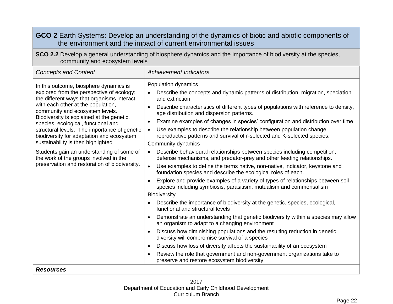<span id="page-20-0"></span>

| GCO 2 Earth Systems: Develop an understanding of the dynamics of biotic and abiotic components of<br>the environment and the impact of current environmental issues                                                                                                                                                                                                                                                                                                                                                                                                       |                                                                                                                                                                                                                                                                                                                                                                                                                                                                                                                                                                                                                                                                                                                                                                                                                                                                                                                                                                                                                                                                                                                                                                                                                                                                                                                                                                                                                                                                                                                                                                                                                                                                                                                               |  |  |
|---------------------------------------------------------------------------------------------------------------------------------------------------------------------------------------------------------------------------------------------------------------------------------------------------------------------------------------------------------------------------------------------------------------------------------------------------------------------------------------------------------------------------------------------------------------------------|-------------------------------------------------------------------------------------------------------------------------------------------------------------------------------------------------------------------------------------------------------------------------------------------------------------------------------------------------------------------------------------------------------------------------------------------------------------------------------------------------------------------------------------------------------------------------------------------------------------------------------------------------------------------------------------------------------------------------------------------------------------------------------------------------------------------------------------------------------------------------------------------------------------------------------------------------------------------------------------------------------------------------------------------------------------------------------------------------------------------------------------------------------------------------------------------------------------------------------------------------------------------------------------------------------------------------------------------------------------------------------------------------------------------------------------------------------------------------------------------------------------------------------------------------------------------------------------------------------------------------------------------------------------------------------------------------------------------------------|--|--|
| SCO 2.2 Develop a general understanding of biosphere dynamics and the importance of biodiversity at the species,<br>community and ecosystem levels                                                                                                                                                                                                                                                                                                                                                                                                                        |                                                                                                                                                                                                                                                                                                                                                                                                                                                                                                                                                                                                                                                                                                                                                                                                                                                                                                                                                                                                                                                                                                                                                                                                                                                                                                                                                                                                                                                                                                                                                                                                                                                                                                                               |  |  |
| <b>Concepts and Content</b>                                                                                                                                                                                                                                                                                                                                                                                                                                                                                                                                               | <b>Achievement Indicators</b>                                                                                                                                                                                                                                                                                                                                                                                                                                                                                                                                                                                                                                                                                                                                                                                                                                                                                                                                                                                                                                                                                                                                                                                                                                                                                                                                                                                                                                                                                                                                                                                                                                                                                                 |  |  |
| In this outcome, biosphere dynamics is<br>explored from the perspective of ecology;<br>the different ways that organisms interact<br>with each other at the population,<br>community and ecosystem levels.<br>Biodiversity is explained at the genetic,<br>species, ecological, functional and<br>structural levels. The importance of genetic<br>biodiversity for adaptation and ecosystem<br>sustainability is then highlighted<br>Students gain an understanding of some of<br>the work of the groups involved in the<br>preservation and restoration of biodiversity. | Population dynamics<br>Describe the concepts and dynamic patterns of distribution, migration, speciation<br>and extinction.<br>Describe characteristics of different types of populations with reference to density,<br>$\bullet$<br>age distribution and dispersion patterns.<br>Examine examples of changes in species' configuration and distribution over time<br>$\bullet$<br>Use examples to describe the relationship between population change,<br>$\bullet$<br>reproductive patterns and survival of r-selected and K-selected species.<br>Community dynamics<br>Describe behavioural relationships between species including competition,<br>$\bullet$<br>defense mechanisms, and predator-prey and other feeding relationships.<br>Use examples to define the terms native, non-native, indicator, keystone and<br>$\bullet$<br>foundation species and describe the ecological roles of each.<br>Explore and provide examples of a variety of types of relationships between soil<br>$\bullet$<br>species including symbiosis, parasitism, mutualism and commensalism<br>Biodiversity<br>Describe the importance of biodiversity at the genetic, species, ecological,<br>functional and structural levels<br>Demonstrate an understanding that genetic biodiversity within a species may allow<br>$\bullet$<br>an organism to adapt to a changing environment<br>Discuss how diminishing populations and the resulting reduction in genetic<br>diversity will compromise survival of a species<br>Discuss how loss of diversity affects the sustainability of an ecosystem<br>$\bullet$<br>Review the role that government and non-government organizations take to<br>preserve and restore ecosystem biodiversity |  |  |
| <b>Resources</b>                                                                                                                                                                                                                                                                                                                                                                                                                                                                                                                                                          |                                                                                                                                                                                                                                                                                                                                                                                                                                                                                                                                                                                                                                                                                                                                                                                                                                                                                                                                                                                                                                                                                                                                                                                                                                                                                                                                                                                                                                                                                                                                                                                                                                                                                                                               |  |  |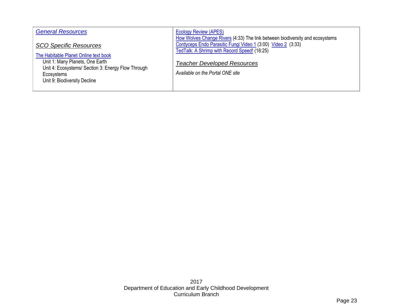| <b>General Resources</b>                                                                                                                                                                                      | <b>Ecology Review (APES)</b><br>How Wolves Change Rivers (4:33) The link between biodiversity and ecosystems                                                                           |
|---------------------------------------------------------------------------------------------------------------------------------------------------------------------------------------------------------------|----------------------------------------------------------------------------------------------------------------------------------------------------------------------------------------|
| <b>SCO Specific Resources</b><br>The Habitable Planet Online text book<br>Unit 1: Many Planets, One Earth<br>Unit 4: Ecosystems/ Section 3: Energy Flow Through<br>Ecosystems<br>Unit 9: Biodiversity Decline | Cordyceps Endo Parasitic Fungi Video 1 (3:00) Video 2 (3:33)<br>TedTalk: A Shrimp with Record Speed! (16:25)<br><b>Teacher Developed Resources</b><br>Available on the Portal ONE site |
|                                                                                                                                                                                                               |                                                                                                                                                                                        |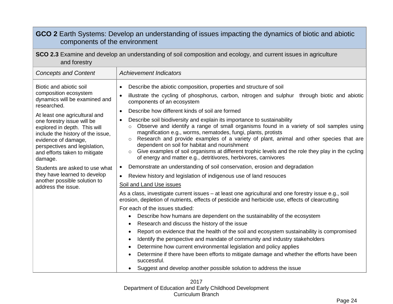<span id="page-22-1"></span><span id="page-22-0"></span>

| GCO 2 Earth Systems: Develop an understanding of issues impacting the dynamics of biotic and abiotic<br>components of the environment                                                                                                                                                                                                                                                                                                                            |                                                                                                                                                                                                                                                                                                                                                                                                                                                                                                                                                                                                                                                                                                                                                                                                                                                                                                                                                                                                                                                                                                                                                                                                                                                                                                                                                                                                                                                                                                                                                                                                                                                                                                                                                                                                                                                                                                                                                 |  |  |
|------------------------------------------------------------------------------------------------------------------------------------------------------------------------------------------------------------------------------------------------------------------------------------------------------------------------------------------------------------------------------------------------------------------------------------------------------------------|-------------------------------------------------------------------------------------------------------------------------------------------------------------------------------------------------------------------------------------------------------------------------------------------------------------------------------------------------------------------------------------------------------------------------------------------------------------------------------------------------------------------------------------------------------------------------------------------------------------------------------------------------------------------------------------------------------------------------------------------------------------------------------------------------------------------------------------------------------------------------------------------------------------------------------------------------------------------------------------------------------------------------------------------------------------------------------------------------------------------------------------------------------------------------------------------------------------------------------------------------------------------------------------------------------------------------------------------------------------------------------------------------------------------------------------------------------------------------------------------------------------------------------------------------------------------------------------------------------------------------------------------------------------------------------------------------------------------------------------------------------------------------------------------------------------------------------------------------------------------------------------------------------------------------------------------------|--|--|
| SCO 2.3 Examine and develop an understanding of soil composition and ecology, and current issues in agriculture<br>and forestry                                                                                                                                                                                                                                                                                                                                  |                                                                                                                                                                                                                                                                                                                                                                                                                                                                                                                                                                                                                                                                                                                                                                                                                                                                                                                                                                                                                                                                                                                                                                                                                                                                                                                                                                                                                                                                                                                                                                                                                                                                                                                                                                                                                                                                                                                                                 |  |  |
| <b>Concepts and Content</b>                                                                                                                                                                                                                                                                                                                                                                                                                                      | <b>Achievement Indicators</b>                                                                                                                                                                                                                                                                                                                                                                                                                                                                                                                                                                                                                                                                                                                                                                                                                                                                                                                                                                                                                                                                                                                                                                                                                                                                                                                                                                                                                                                                                                                                                                                                                                                                                                                                                                                                                                                                                                                   |  |  |
| Biotic and abiotic soil<br>composition ecosystem<br>dynamics will be examined and<br>researched.<br>At least one agricultural and<br>one forestry issue will be<br>explored in depth. This will<br>include the history of the issue,<br>evidence of damage,<br>perspectives and legislation,<br>and efforts taken to mitigate<br>damage.<br>Students are asked to use what<br>they have learned to develop<br>another possible solution to<br>address the issue. | Describe the abiotic composition, properties and structure of soil<br>illustrate the cycling of phosphorus, carbon, nitrogen and sulphur through biotic and abiotic<br>$\bullet$<br>components of an ecosystem<br>Describe how different kinds of soil are formed<br>$\bullet$<br>Describe soil biodiversity and explain its importance to sustainability<br>$\bullet$<br>Observe and identify a range of small organisms found in a variety of soil samples using<br>$\circ$<br>magnification e.g., worms, nematodes, fungi, plants, protists<br>Research and provide examples of a variety of plant, animal and other species that are<br>$\circ$<br>dependent on soil for habitat and nourishment<br>○ Give examples of soil organisms at different trophic levels and the role they play in the cycling<br>of energy and matter e.g., detritivores, herbivores, carnivores<br>Demonstrate an understanding of soil conservation, erosion and degradation<br>$\bullet$<br>Review history and legislation of indigenous use of land resouces<br>$\bullet$<br>Soil and Land Use issues<br>As a class, investigate current issues - at least one agricultural and one forestry issue e.g., soil<br>erosion, depletion of nutrients, effects of pesticide and herbicide use, effects of clearcutting<br>For each of the issues studied:<br>Describe how humans are dependent on the sustainability of the ecosystem<br>$\bullet$<br>Research and discuss the history of the issue<br>Report on evidence that the health of the soil and ecosystem sustainability is compromised<br>$\bullet$<br>Identify the perspective and mandate of community and industry stakeholders<br>$\bullet$<br>Determine how current environmental legislation and policy applies<br>Determine if there have been efforts to mitigate damage and whether the efforts have been<br>successful.<br>Suggest and develop another possible solution to address the issue |  |  |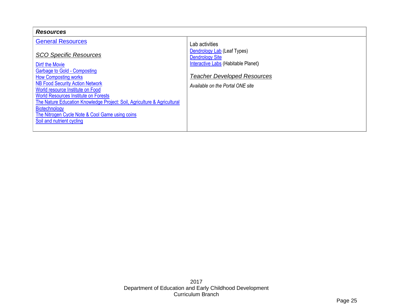| <b>Resources</b>                                                                                                                                                                                                                                                                             |                                                                        |
|----------------------------------------------------------------------------------------------------------------------------------------------------------------------------------------------------------------------------------------------------------------------------------------------|------------------------------------------------------------------------|
| <b>General Resources</b>                                                                                                                                                                                                                                                                     | Lab activities                                                         |
| <b>SCO Specific Resources</b>                                                                                                                                                                                                                                                                | Dendrology Lab (Leaf Types)<br><b>Dendrology Site</b>                  |
| Dirt! the Movie                                                                                                                                                                                                                                                                              | Interactive Labs (Habitable Planet)                                    |
| <b>Garbage to Gold - Composting</b><br><b>How Composting works</b><br><b>NB Food Security Action Network</b><br>World resource Institute on Food<br><b>World Resources Institute on Forests</b><br>The Nature Education Knowledge Project: Soil, Agriculture & Agricultural<br>Biotechnology | <b>Teacher Developed Resources</b><br>Available on the Portal ONE site |
| The Nitrogen Cycle Note & Cool Game using coins<br>Soil and nutrient cycling                                                                                                                                                                                                                 |                                                                        |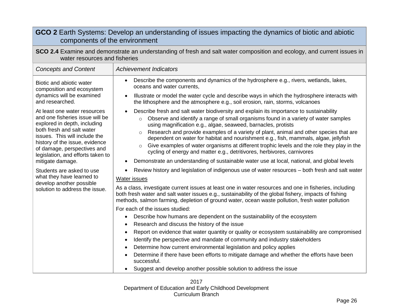<span id="page-24-0"></span>

| GCO 2 Earth Systems: Develop an understanding of issues impacting the dynamics of biotic and abiotic<br>components of the environment                                                                                                                                                   |                                                                                                                                                                                                                                                                                                                                                                                                                                                                                                                                                                                                                                                                                                                                                                                                                                                                                                                                                                                                                                                                                                           |  |  |
|-----------------------------------------------------------------------------------------------------------------------------------------------------------------------------------------------------------------------------------------------------------------------------------------|-----------------------------------------------------------------------------------------------------------------------------------------------------------------------------------------------------------------------------------------------------------------------------------------------------------------------------------------------------------------------------------------------------------------------------------------------------------------------------------------------------------------------------------------------------------------------------------------------------------------------------------------------------------------------------------------------------------------------------------------------------------------------------------------------------------------------------------------------------------------------------------------------------------------------------------------------------------------------------------------------------------------------------------------------------------------------------------------------------------|--|--|
| SCO 2.4 Examine and demonstrate an understanding of fresh and salt water composition and ecology, and current issues in<br>water resources and fisheries                                                                                                                                |                                                                                                                                                                                                                                                                                                                                                                                                                                                                                                                                                                                                                                                                                                                                                                                                                                                                                                                                                                                                                                                                                                           |  |  |
| <b>Concepts and Content</b>                                                                                                                                                                                                                                                             | <b>Achievement Indicators</b>                                                                                                                                                                                                                                                                                                                                                                                                                                                                                                                                                                                                                                                                                                                                                                                                                                                                                                                                                                                                                                                                             |  |  |
| Biotic and abiotic water<br>composition and ecosystem<br>dynamics will be examined<br>and researched.                                                                                                                                                                                   | Describe the components and dynamics of the hydrosphere e.g., rivers, wetlands, lakes,<br>$\bullet$<br>oceans and water currents.<br>Illustrate or model the water cycle and describe ways in which the hydrosphere interacts with<br>$\bullet$<br>the lithosphere and the atmosphere e.g., soil erosion, rain, storms, volcanoes                                                                                                                                                                                                                                                                                                                                                                                                                                                                                                                                                                                                                                                                                                                                                                         |  |  |
| At least one water resources<br>and one fisheries issue will be<br>explored in depth, including<br>both fresh and salt water<br>issues. This will include the<br>history of the issue, evidence<br>of damage, perspectives and<br>legislation, and efforts taken to<br>mitigate damage. | Describe fresh and salt water biodiversity and explain its importance to sustainability<br>$\bullet$<br>Observe and identify a range of small organisms found in a variety of water samples<br>$\circ$<br>using magnification e.g., algae, seaweed, barnacles, protists<br>Research and provide examples of a variety of plant, animal and other species that are<br>$\circ$<br>dependent on water for habitat and nourishment e.g., fish, mammals, algae, jellyfish<br>Give examples of water organisms at different trophic levels and the role they play in the<br>$\circ$<br>cycling of energy and matter e.g., detritivores, herbivores, carnivores<br>Demonstrate an understanding of sustainable water use at local, national, and global levels                                                                                                                                                                                                                                                                                                                                                   |  |  |
| Students are asked to use<br>what they have learned to<br>develop another possible<br>solution to address the issue.                                                                                                                                                                    | Review history and legislation of indigenous use of water resources - both fresh and salt water<br><b>Water issues</b><br>As a class, investigate current issues at least one in water resources and one in fisheries, including<br>both fresh water and salt water issues e.g., sustainability of the global fishery, impacts of fishing<br>methods, salmon farming, depletion of ground water, ocean waste pollution, fresh water pollution<br>For each of the issues studied:<br>Describe how humans are dependent on the sustainability of the ecosystem<br>$\bullet$<br>Research and discuss the history of the issue<br>$\bullet$<br>Report on evidence that water quantity or quality or ecosystem sustainability are compromised<br>$\bullet$<br>Identify the perspective and mandate of community and industry stakeholders<br>$\bullet$<br>Determine how current environmental legislation and policy applies<br>Determine if there have been efforts to mitigate damage and whether the efforts have been<br>successful.<br>Suggest and develop another possible solution to address the issue |  |  |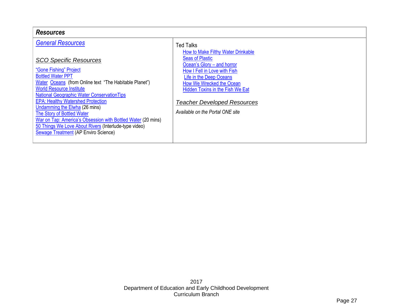| <b>Resources</b>                                                                                                                                                                                                                                                                                                                                                  |                                                                                                                                                                                                       |  |  |
|-------------------------------------------------------------------------------------------------------------------------------------------------------------------------------------------------------------------------------------------------------------------------------------------------------------------------------------------------------------------|-------------------------------------------------------------------------------------------------------------------------------------------------------------------------------------------------------|--|--|
| <b>General Resources</b><br><b>SCO Specific Resources</b><br>"Gone Fishing" Project<br><b>Bottled Water PPT</b><br>Water Oceans (from Online text "The Habitable Planet")                                                                                                                                                                                         | <b>Ted Talks</b><br>How to Make Filthy Water Drinkable<br><b>Seas of Plastic</b><br>Ocean's Glory – and horror<br>How I Fell in Love with Fish<br>Life in the Deep Oceans<br>How We Wrecked the Ocean |  |  |
| <b>World Resource Institute</b><br><b>National Geographic Water Conservation Tips</b><br><b>EPA: Healthy Watershed Protection</b><br>Undamming the Elwha (26 mins)<br>The Story of Bottled Water<br>War on Tap: America's Obsession with Bottled Water (20 mins)<br>50 Things We Love About Rivers (Interlude-type video)<br>Sewage Treatment (AP Enviro Science) | <b>Hidden Toxins in the Fish We Eat</b><br><b>Teacher Developed Resources</b><br>Available on the Portal ONE site                                                                                     |  |  |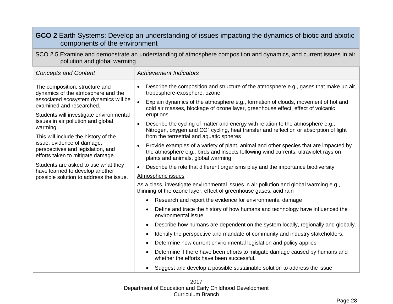<span id="page-26-0"></span>

| GCO 2 Earth Systems: Develop an understanding of issues impacting the dynamics of biotic and abiotic<br>components of the environment              |                                                                                                                                                                                                                    |  |  |
|----------------------------------------------------------------------------------------------------------------------------------------------------|--------------------------------------------------------------------------------------------------------------------------------------------------------------------------------------------------------------------|--|--|
| SCO 2.5 Examine and demonstrate an understanding of atmosphere composition and dynamics, and current issues in air<br>pollution and global warming |                                                                                                                                                                                                                    |  |  |
| <b>Concepts and Content</b>                                                                                                                        | <b>Achievement Indicators</b>                                                                                                                                                                                      |  |  |
| The composition, structure and<br>dynamics of the atmosphere and the                                                                               | Describe the composition and structure of the atmosphere e.g., gases that make up air,<br>$\bullet$<br>troposphere-exosphere, ozone                                                                                |  |  |
| associated ecosystem dynamics will be<br>examined and researched.                                                                                  | Explain dynamics of the atmosphere e.g., formation of clouds, movement of hot and<br>$\bullet$<br>cold air masses, blockage of ozone layer, greenhouse effect, effect of volcanic<br>eruptions                     |  |  |
| Students will investigate environmental<br>issues in air pollution and global<br>warming.                                                          | Describe the cycling of matter and energy with relation to the atmosphere e.g.,<br>$\bullet$<br>Nitrogen, oxygen and CO <sup>2</sup> cycling, heat transfer and reflection or absorption of light                  |  |  |
| This will include the history of the<br>issue, evidence of damage,                                                                                 | from the terrestrial and aquatic spheres                                                                                                                                                                           |  |  |
| perspectives and legislation, and<br>efforts taken to mitigate damage.                                                                             | Provide examples of a variety of plant, animal and other species that are impacted by<br>the atmosphere e.g., birds and insects following wind currents, ultraviolet rays on<br>plants and animals, global warming |  |  |
| Students are asked to use what they<br>have learned to develop another                                                                             | Describe the role that different organisms play and the importance biodiversity<br>$\bullet$                                                                                                                       |  |  |
| possible solution to address the issue.                                                                                                            | Atmospheric issues                                                                                                                                                                                                 |  |  |
|                                                                                                                                                    | As a class, investigate environmental issues in air pollution and global warming e.g.,<br>thinning of the ozone layer, effect of greenhouse gases, acid rain                                                       |  |  |
|                                                                                                                                                    | Research and report the evidence for environmental damage<br>$\bullet$                                                                                                                                             |  |  |
|                                                                                                                                                    | Define and trace the history of how humans and technology have influenced the<br>environmental issue.                                                                                                              |  |  |
|                                                                                                                                                    | Describe how humans are dependent on the system locally, regionally and globally.                                                                                                                                  |  |  |
|                                                                                                                                                    | Identify the perspective and mandate of community and industry stakeholders.                                                                                                                                       |  |  |
|                                                                                                                                                    | Determine how current environmental legislation and policy applies                                                                                                                                                 |  |  |
|                                                                                                                                                    | Determine if there have been efforts to mitigate damage caused by humans and<br>whether the efforts have been successful.                                                                                          |  |  |
|                                                                                                                                                    | Suggest and develop a possible sustainable solution to address the issue                                                                                                                                           |  |  |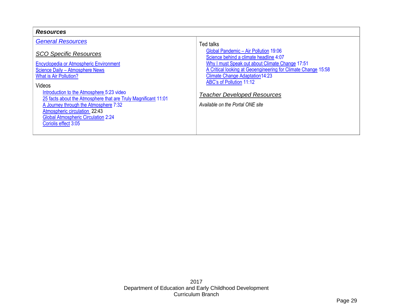| <b>Resources</b>                                                                                                                                                                                                                                                                                                                                                                                                                                  |                                                                                                                                                                                                                                                                                                                                                                 |  |  |
|---------------------------------------------------------------------------------------------------------------------------------------------------------------------------------------------------------------------------------------------------------------------------------------------------------------------------------------------------------------------------------------------------------------------------------------------------|-----------------------------------------------------------------------------------------------------------------------------------------------------------------------------------------------------------------------------------------------------------------------------------------------------------------------------------------------------------------|--|--|
| <b>General Resources</b><br><b>SCO Specific Resources</b><br>Encyclopedia or Atmospheric Environment<br>Science Daily - Atmosphere News<br>What is Air Pollution?<br><b>Videos</b><br>Introduction to the Atmosphere 5:23 video<br>25 facts about the Atmosphere that are Truly Magnificant 11:01<br>A Journey through the Atmosphere 7:32<br>Atmospheric circulation 22:43<br><b>Global Atmospheric Circulation 2:24</b><br>Coriolis effect 3:05 | Ted talks<br>Global Pandemic - Air Pollution 19:06<br>Science behind a climate headline 4:07<br>Why I must Speak out about Climate Change 17:51<br>A Critical looking at Geoengineering for Climate Change 15:58<br><b>Climate Change Adaptation14:23</b><br>ABC's of Pollution 11:12<br><b>Teacher Developed Resources</b><br>Available on the Portal ONE site |  |  |
|                                                                                                                                                                                                                                                                                                                                                                                                                                                   |                                                                                                                                                                                                                                                                                                                                                                 |  |  |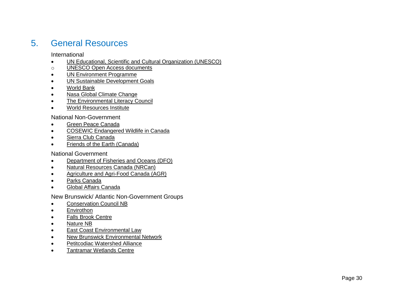## <span id="page-28-1"></span><span id="page-28-0"></span>5. General Resources

International

- [UN Educational, Scientific and Cultural Organization \(UNESCO\)](http://en.unesco.org/)
- o [UNESCO Open Access documents](http://www.unesco.org/ulis/open_access/index_en.shtml)
- [UN Environment Programme](http://www.unep.org/)
- [UN Sustainable Development Goals](http://www.undp.org/content/undp/en/home/sustainable-development-goals.html)
- [World Bank](http://www.worldbank.org/)
- [Nasa Global Climate Change](https://climate.nasa.gov/)
- [The Environmental Literacy Council](https://enviroliteracy.org/)
- [World Resources Institute](http://www.wri.org/our-work)

<span id="page-28-2"></span>National Non -Government

- [Green Peace Canada](http://www.greenpeace.org/canada/en/home/)
- **[COSEWIC Endangered Wildlife in Canada](http://www.cosewic.gc.ca/default.asp?lang=en&n=EC89538C-1)**
- [Sierra Club Canada](http://www.sierraclub.ca/)
- [Friends of the Earth \(Canada\)](http://foecanada.org/en/about/)

<span id="page-28-3"></span>National Government

- [Department of Fisheries and Oceans \(DFO\)](http://www.dfo-mpo.gc.ca/)
- [Natural Resources Canada \(NRCan\)](http://www.agr.gc.ca/)
- [Agriculture and Agri-Food Canada \(AGR\)](http://www.agr.gc.ca/)
- [Parks Canada](http://www.pc.gc.ca/)
- [Global Affairs Canada](http://www.international.gc.ca/international/index.aspx?lang=eng)

<span id="page-28-4"></span>New Brunswick/ Atlantic Non -Government Groups

- [Conservation Council NB](http://conservationcouncil.ca/)
- **•** [Envirothon](http://envirothonnb.ca/)
- [Falls Brook Centre](http://fallsbrookcentre.ca/wp/)
- [Nature NB](http://www.naturenb.ca/favicon.ico)
- [East Coast Environmental Law](http://www.ecelaw.ca/)
- [New Brunswick Environmental Network](http://www.nben.ca/en/)
- [Petitcodiac Watershed Alliance](http://petitcodiacwatershed.org/)
- [Tantramar Wetlands](http://weted.com/) Centre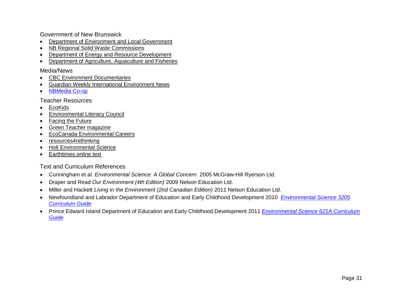<span id="page-29-0"></span>Government of New Brunswick

- [Department of Environment and Local Government](http://www2.gnb.ca/content/gnb/biling/elg.html)
- [NB Regional Solid Waste Commissions](http://www2.gnb.ca/content/gnb/en/departments/elg/environment/content/land_waste/content/solid_waste.html)
- [Department of Energy and Resource Development](http://www2.gnb.ca/content/gnb/en/departments/erd.html)
- [Department of Agriculture, Aquaculture and Fisheries](http://www2.gnb.ca/content/gnb/en/departments/10.html)

#### <span id="page-29-1"></span>Media/News

- [CBC Environment Documentaries](http://www.cbc.ca/archives/categories/environment/)
- [Guardian Weekly International Environment News](https://www.theguardian.com/uk/environment)
- [NBMedia Co-op](http://nbmediacoop.org/category/nb/nb-environment/)

<span id="page-29-2"></span>Teacher Resources

- [EcoKids](http://ecokids.ca/pub/eco_info/topics/climate/co2effect/index.cfm)
- [Environmental Literacy Council](https://enviroliteracy.org/)
- [Facing the Future](https://www.facingthefuture.org/)
- [Green Teacher magazine](https://greenteacher.com/)
- [EcoCanada Environmental Careers](http://www.eco.ca/)
- [resources4rethinking](http://resources4rethinking.ca/)
- [Holt Environmental Science](http://go.hrw.com/hrw.nd/gohrw_rls1/pKeywordResults?HE4%20HOME&SPIDERSESSION=AAAAAgAAABcAAAADQ0dJAAAAAAAAAROrAC3S27neCAAAAAIAAAAaAAAABm5vYm9keQAAAAAAAADmVpCR9QCuZHoAAAALSOBIX3l5SDV5X0g%3d&%5euniqueValue=1183985197989)
- <span id="page-29-3"></span>• [Earthtimes online text](http://www.earthtimes.org/)

Text and Curriculum References

- Cunningham et al. *Environmental Science: A Global Concern* 2005 McGraw-Hill Ryerson Ltd.
- Draper and Read *Our Environment (4th Edition)* 2009 Nelson Education Ltd.
- Miller and Hackett *Living in the Environment (2nd Canadian Edition)* 2011 Nelson Education Ltd.
- Newfoundland and Labrador Department of Education and Early Childhood Development 2010 *[Environmental Science 3205](http://www.ed.gov.nl.ca/edu/k12/curriculum/guides/science/index.html)  [Curriculum Guide](http://www.ed.gov.nl.ca/edu/k12/curriculum/guides/science/index.html)*
- Prince Edward Island Department of Education and Early Childhood Development 2011 *[Environmental Science 621A Curriculum](https://www.princeedwardisland.ca/sites/default/files/publications/eelc_env621a.pdf)  [Guide](https://www.princeedwardisland.ca/sites/default/files/publications/eelc_env621a.pdf)*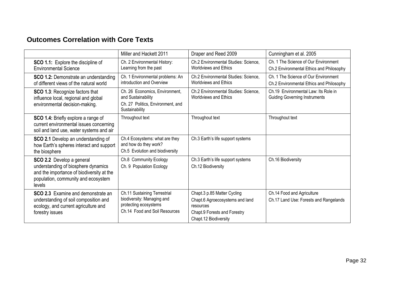## <span id="page-30-0"></span>**Outcomes Correlation with Core Texts**

|                                                                                                                                                                | Miller and Hackett 2011                                                                                              | Draper and Reed 2009                                                                                                                 | Cunningham et al. 2005                                                           |
|----------------------------------------------------------------------------------------------------------------------------------------------------------------|----------------------------------------------------------------------------------------------------------------------|--------------------------------------------------------------------------------------------------------------------------------------|----------------------------------------------------------------------------------|
| SCO 1.1: Explore the discipline of<br><b>Environmental Science</b>                                                                                             | Ch. 2 Environmental History:<br>Learning from the past                                                               | Ch.2 Environmental Studies: Science,<br>Worldviews and Ethics                                                                        | Ch. 1 The Science of Our Environment<br>Ch.2 Environmental Ethics and Philosophy |
| SCO 1.2: Demonstrate an understanding<br>of different views of the natural world                                                                               | Ch. 1 Environmental problems: An<br>introduction and Overview                                                        | Ch.2 Environmental Studies: Science,<br><b>Worldviews and Ethics</b>                                                                 | Ch. 1 The Science of Our Environment<br>Ch.2 Environmental Ethics and Philosophy |
| SCO 1.3: Recognize factors that<br>influence local, regional and global<br>environmental decision-making.                                                      | Ch. 26 Economics, Environment,<br>and Sustainability<br>Ch. 27 Politics, Environment, and<br>Sustainability          | Ch.2 Environmental Studies: Science,<br><b>Worldviews and Ethics</b>                                                                 | Ch.19 Environmental Law: Its Role in<br><b>Guiding Governing Instruments</b>     |
| SCO 1.4: Briefly explore a range of<br>current environmental issues concerning<br>soil and land use, water systems and air                                     | Throughout text                                                                                                      | Throughout text                                                                                                                      | Throughout text                                                                  |
| SCO 2.1 Develop an understanding of<br>how Earth's spheres interact and support<br>the biosphere                                                               | Ch.4 Ecosystems: what are they<br>and how do they work?<br>Ch.5 Evolution and biodiversity                           | Ch.3 Earth's life support systems                                                                                                    |                                                                                  |
| SCO 2.2 Develop a general<br>understanding of biosphere dynamics<br>and the importance of biodiversity at the<br>population, community and ecosystem<br>levels | Ch.8 Community Ecology<br>Ch. 9 Population Ecology                                                                   | Ch.3 Earth's life support systems<br>Ch.12 Biodiversity                                                                              | Ch.16 Biodiversity                                                               |
| <b>SCO 2.3</b> Examine and demonstrate an<br>understanding of soil composition and<br>ecology, and current agriculture and<br>forestry issues                  | Ch.11 Sustaining Terrestrial<br>biodiversity: Managing and<br>protecting ecosystems<br>Ch.14 Food and Soil Resources | Chapt.3 p.85 Matter Cycling<br>Chapt.6 Agroecosystems and land<br>resources<br>Chapt.9 Forests and Forestry<br>Chapt.12 Biodiversity | Ch.14 Food and Agriculture<br>Ch.17 Land Use: Forests and Rangelands             |